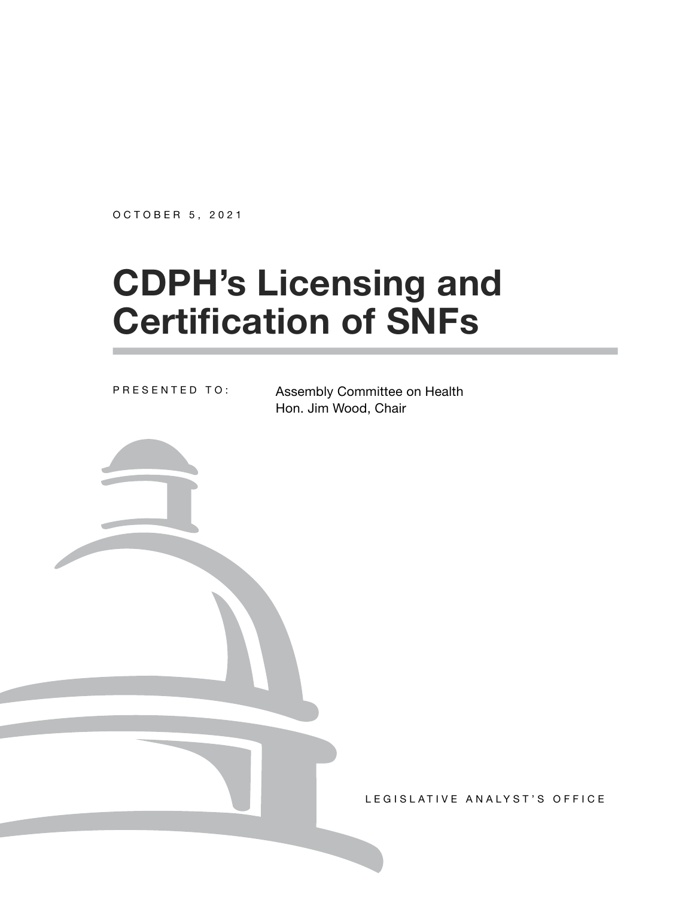OCTOBER 5, 2021

# **CDPH's Licensing and Certification of SNFs**

PRESENTED TO:

Assembly Committee on Health Hon. Jim Wood, Chair

LEGISLATIVE ANALYST'S OFFICE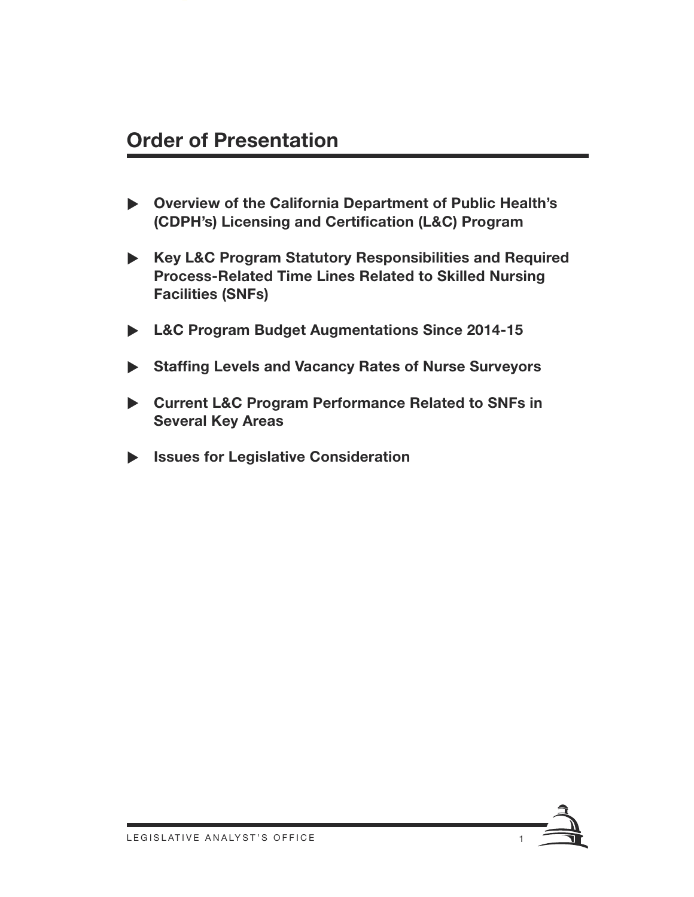#### **Order of Presentation**

- ▶ Overview of the California Department of Public Health's **(CDPH's) Licensing and Certification (L&C) Program**
- ▶ Key L&C Program Statutory Responsibilities and Required **Process-Related Time Lines Related to Skilled Nursing Facilities (SNFs)**
- ▶ L&C Program Budget Augmentations Since 2014-15
- ▶ Staffing Levels and Vacancy Rates of Nurse Surveyors
- ▶ Current L&C Program Performance Related to SNFs in **Several Key Areas**
- X **Issues for Legislative Consideration**

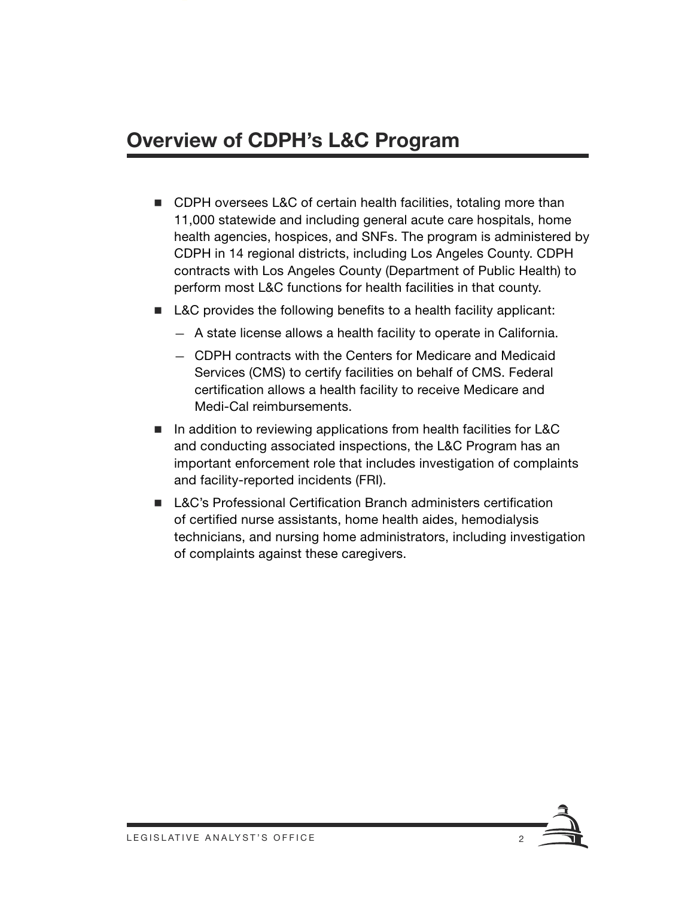# **Overview of CDPH's L&C Program**

- CDPH oversees L&C of certain health facilities, totaling more than 11,000 statewide and including general acute care hospitals, home health agencies, hospices, and SNFs. The program is administered by CDPH in 14 regional districts, including Los Angeles County. CDPH contracts with Los Angeles County (Department of Public Health) to perform most L&C functions for health facilities in that county.
- L&C provides the following benefits to a health facility applicant:
	- A state license allows a health facility to operate in California.
	- CDPH contracts with the Centers for Medicare and Medicaid Services (CMS) to certify facilities on behalf of CMS. Federal certification allows a health facility to receive Medicare and Medi-Cal reimbursements.
- In addition to reviewing applications from health facilities for L&C and conducting associated inspections, the L&C Program has an important enforcement role that includes investigation of complaints and facility-reported incidents (FRI).
- **LAC's Professional Certification Branch administers certification** of certified nurse assistants, home health aides, hemodialysis technicians, and nursing home administrators, including investigation of complaints against these caregivers.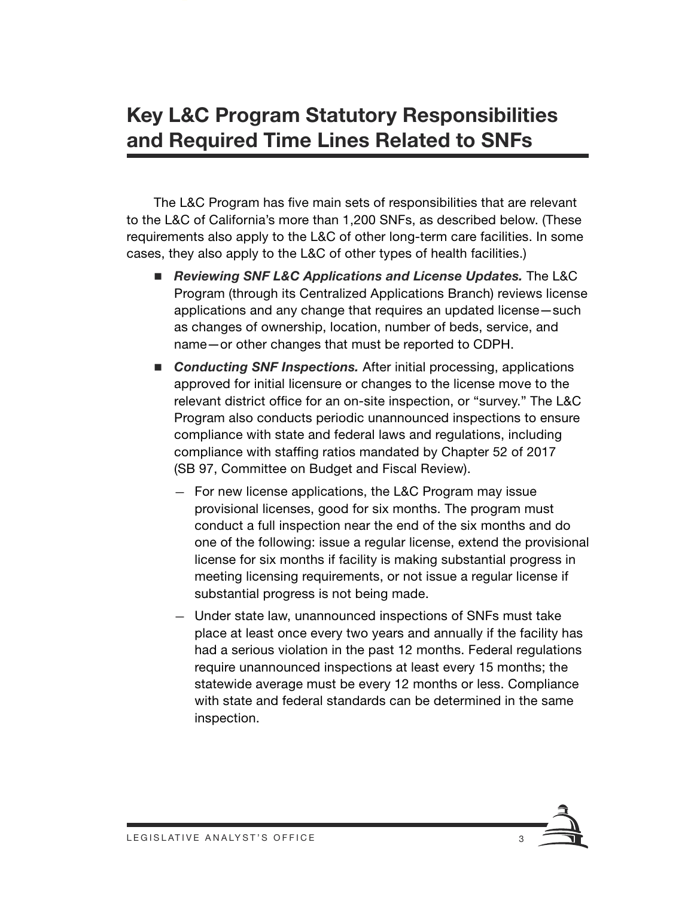## **Key L&C Program Statutory Responsibilities and Required Time Lines Related to SNFs**

The L&C Program has five main sets of responsibilities that are relevant to the L&C of California's more than 1,200 SNFs, as described below. (These requirements also apply to the L&C of other long-term care facilities. In some cases, they also apply to the L&C of other types of health facilities.)

- *Reviewing SNF L&C Applications and License Updates.* The L&C Program (through its Centralized Applications Branch) reviews license applications and any change that requires an updated license—such as changes of ownership, location, number of beds, service, and name—or other changes that must be reported to CDPH.
- Conducting SNF Inspections. After initial processing, applications approved for initial licensure or changes to the license move to the relevant district office for an on-site inspection, or "survey." The L&C Program also conducts periodic unannounced inspections to ensure compliance with state and federal laws and regulations, including compliance with staffing ratios mandated by Chapter 52 of 2017 (SB 97, Committee on Budget and Fiscal Review).
	- For new license applications, the L&C Program may issue provisional licenses, good for six months. The program must conduct a full inspection near the end of the six months and do one of the following: issue a regular license, extend the provisional license for six months if facility is making substantial progress in meeting licensing requirements, or not issue a regular license if substantial progress is not being made.
	- Under state law, unannounced inspections of SNFs must take place at least once every two years and annually if the facility has had a serious violation in the past 12 months. Federal regulations require unannounced inspections at least every 15 months; the statewide average must be every 12 months or less. Compliance with state and federal standards can be determined in the same inspection.

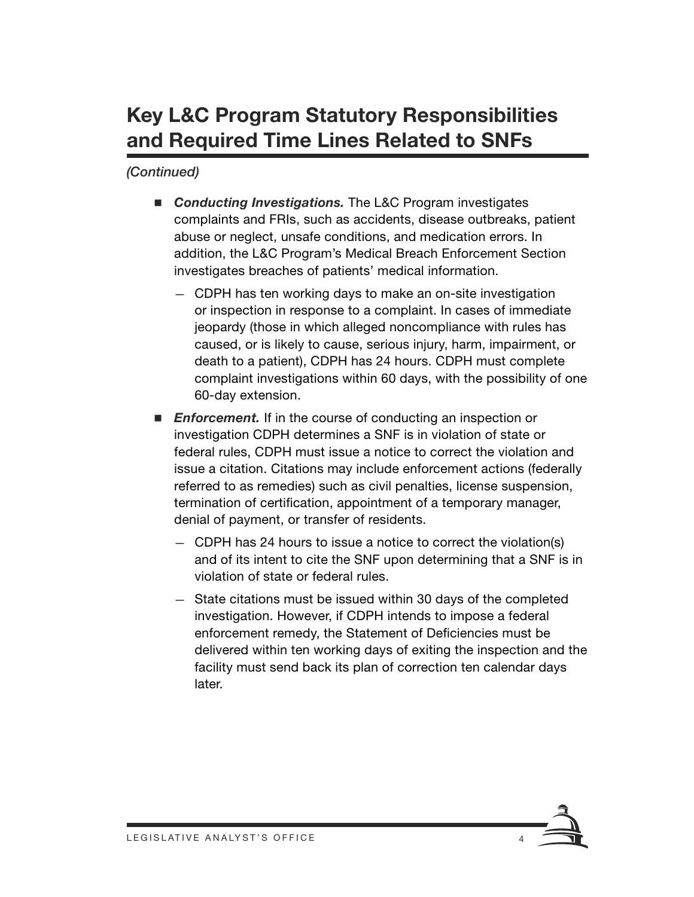# **Key L&C Program Statutory Responsibilities and Required Time Lines Related to SNFs**

- Conducting Investigations. The L&C Program investigates complaints and FRIs, such as accidents, disease outbreaks, patient abuse or neglect, unsafe conditions, and medication errors. In addition, the L&C Program's Medical Breach Enforcement Section investigates breaches of patients' medical information.
	- CDPH has ten working days to make an on-site investigation or inspection in response to a complaint. In cases of immediate jeopardy (those in which alleged noncompliance with rules has caused, or is likely to cause, serious injury, harm, impairment, or death to a patient), CDPH has 24 hours. CDPH must complete complaint investigations within 60 days, with the possibility of one 60-day extension.
- **Enforcement.** If in the course of conducting an inspection or investigation CDPH determines a SNF is in violation of state or federal rules, CDPH must issue a notice to correct the violation and issue a citation. Citations may include enforcement actions (federally referred to as remedies) such as civil penalties, license suspension, termination of certification, appointment of a temporary manager, denial of payment, or transfer of residents.
	- CDPH has 24 hours to issue a notice to correct the violation(s) and of its intent to cite the SNF upon determining that a SNF is in violation of state or federal rules.
	- State citations must be issued within 30 days of the completed investigation. However, if CDPH intends to impose a federal enforcement remedy, the Statement of Deficiencies must be delivered within ten working days of exiting the inspection and the facility must send back its plan of correction ten calendar days later.

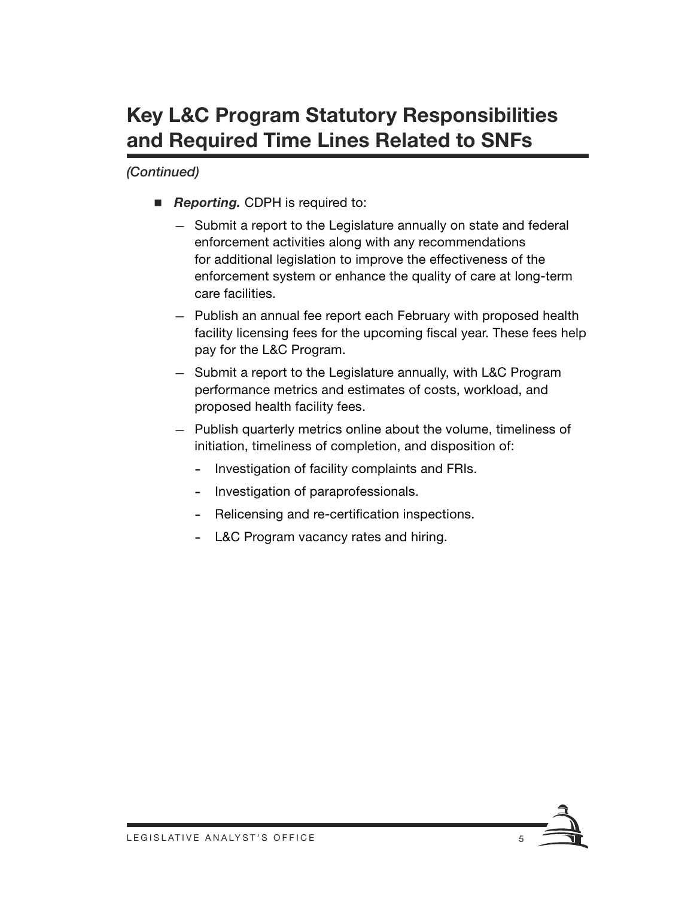# **Key L&C Program Statutory Responsibilities and Required Time Lines Related to SNFs**

- **Reporting.** CDPH is required to:
	- Submit a report to the Legislature annually on state and federal enforcement activities along with any recommendations for additional legislation to improve the effectiveness of the enforcement system or enhance the quality of care at long-term care facilities.
	- Publish an annual fee report each February with proposed health facility licensing fees for the upcoming fiscal year. These fees help pay for the L&C Program.
	- Submit a report to the Legislature annually, with L&C Program performance metrics and estimates of costs, workload, and proposed health facility fees.
	- Publish quarterly metrics online about the volume, timeliness of initiation, timeliness of completion, and disposition of:
		- Investigation of facility complaints and FRIs.
		- Investigation of paraprofessionals.
		- Relicensing and re-certification inspections.
		- L&C Program vacancy rates and hiring.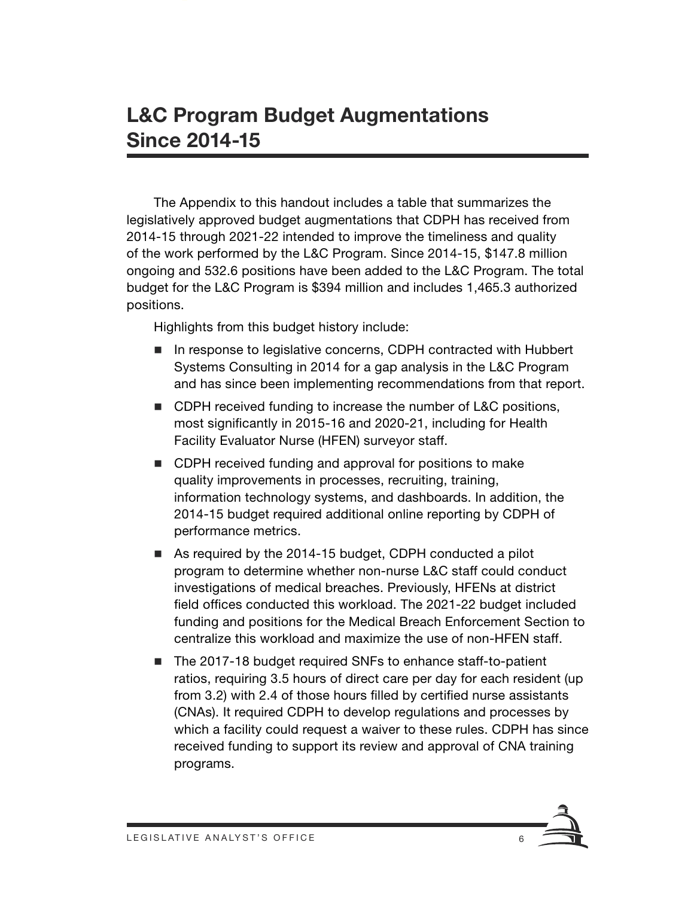### **L&C Program Budget Augmentations Since 2014-15**

The Appendix to this handout includes a table that summarizes the legislatively approved budget augmentations that CDPH has received from 2014-15 through 2021-22 intended to improve the timeliness and quality of the work performed by the L&C Program. Since 2014-15, \$147.8 million ongoing and 532.6 positions have been added to the L&C Program. The total budget for the L&C Program is \$394 million and includes 1,465.3 authorized positions.

Highlights from this budget history include:

- In response to legislative concerns, CDPH contracted with Hubbert Systems Consulting in 2014 for a gap analysis in the L&C Program and has since been implementing recommendations from that report.
- CDPH received funding to increase the number of L&C positions, most significantly in 2015-16 and 2020-21, including for Health Facility Evaluator Nurse (HFEN) surveyor staff.
- CDPH received funding and approval for positions to make quality improvements in processes, recruiting, training, information technology systems, and dashboards. In addition, the 2014-15 budget required additional online reporting by CDPH of performance metrics.
- As required by the 2014-15 budget, CDPH conducted a pilot program to determine whether non-nurse L&C staff could conduct investigations of medical breaches. Previously, HFENs at district field offices conducted this workload. The 2021-22 budget included funding and positions for the Medical Breach Enforcement Section to centralize this workload and maximize the use of non-HFEN staff.
- The 2017-18 budget required SNFs to enhance staff-to-patient ratios, requiring 3.5 hours of direct care per day for each resident (up from 3.2) with 2.4 of those hours filled by certified nurse assistants (CNAs). It required CDPH to develop regulations and processes by which a facility could request a waiver to these rules. CDPH has since received funding to support its review and approval of CNA training programs.

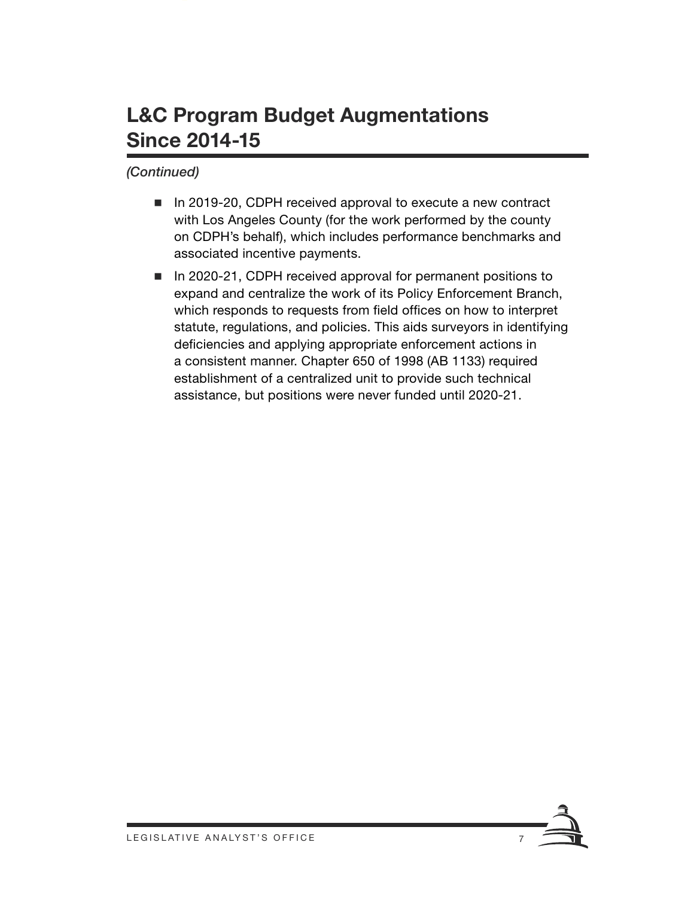## **L&C Program Budget Augmentations Since 2014-15**

- In 2019-20, CDPH received approval to execute a new contract with Los Angeles County (for the work performed by the county on CDPH's behalf), which includes performance benchmarks and associated incentive payments.
- In 2020-21, CDPH received approval for permanent positions to expand and centralize the work of its Policy Enforcement Branch, which responds to requests from field offices on how to interpret statute, regulations, and policies. This aids surveyors in identifying deficiencies and applying appropriate enforcement actions in a consistent manner. Chapter 650 of 1998 (AB 1133) required establishment of a centralized unit to provide such technical assistance, but positions were never funded until 2020-21.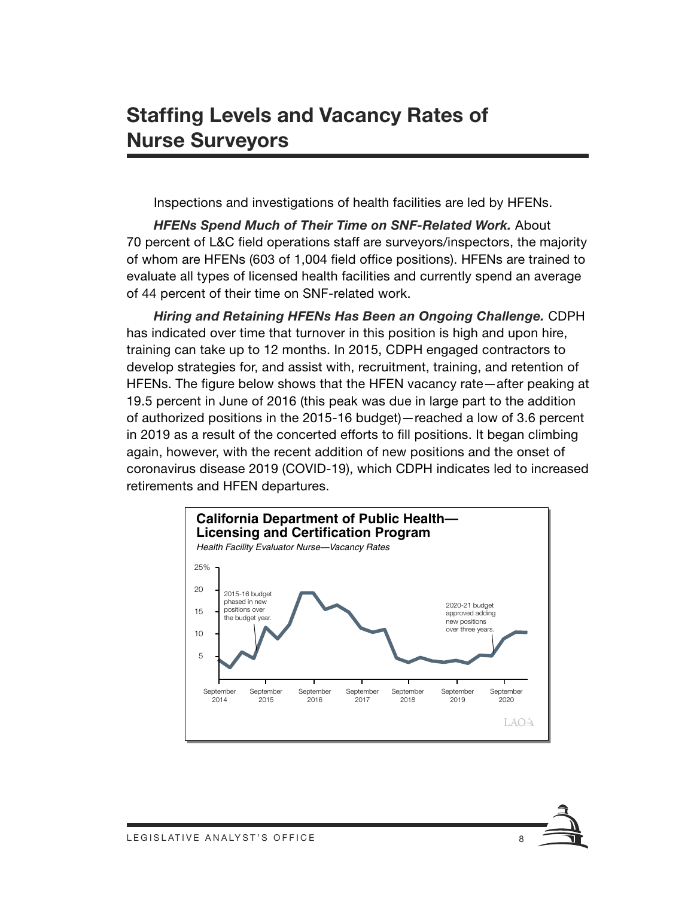## **Staffing Levels and Vacancy Rates of Nurse Surveyors**

Inspections and investigations of health facilities are led by HFENs.

*HFENs Spend Much of Their Time on SNF-Related Work.* About 70 percent of L&C field operations staff are surveyors/inspectors, the majority of whom are HFENs (603 of 1,004 field office positions). HFENs are trained to evaluate all types of licensed health facilities and currently spend an average of 44 percent of their time on SNF-related work.

*Hiring and Retaining HFENs Has Been an Ongoing Challenge.* CDPH has indicated over time that turnover in this position is high and upon hire, training can take up to 12 months. In 2015, CDPH engaged contractors to develop strategies for, and assist with, recruitment, training, and retention of HFENs. The figure below shows that the HFEN vacancy rate—after peaking at 19.5 percent in June of 2016 (this peak was due in large part to the addition of authorized positions in the 2015-16 budget)—reached a low of 3.6 percent in 2019 as a result of the concerted efforts to fill positions. It began climbing again, however, with the recent addition of new positions and the onset of coronavirus disease 2019 (COVID-19), which CDPH indicates led to increased retirements and HFEN departures.

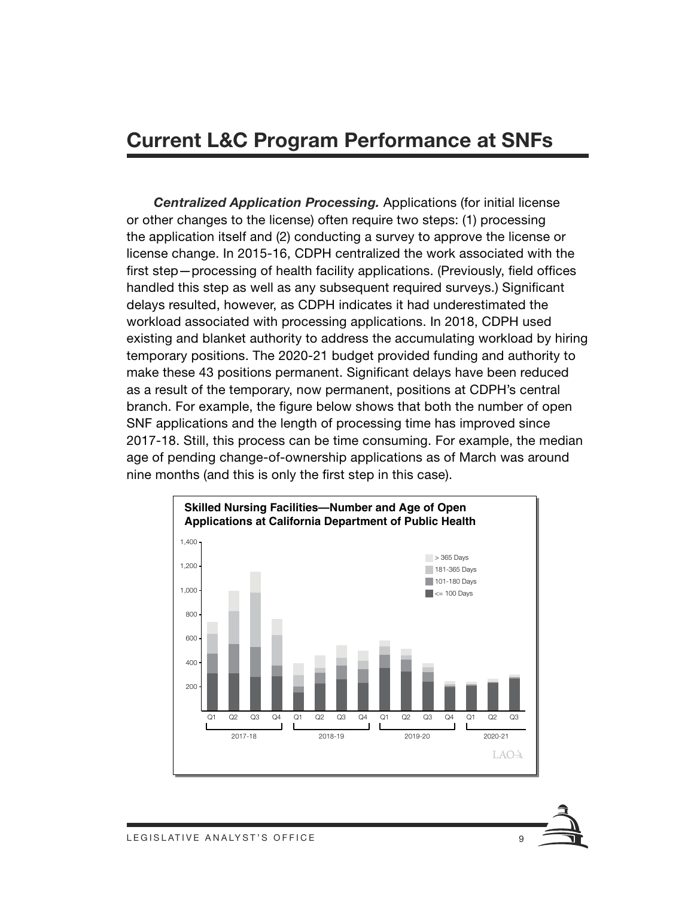#### **Current L&C Program Performance at SNFs**

*Centralized Application Processing.* Applications (for initial license or other changes to the license) often require two steps: (1) processing the application itself and (2) conducting a survey to approve the license or license change. In 2015-16, CDPH centralized the work associated with the first step—processing of health facility applications. (Previously, field offices handled this step as well as any subsequent required surveys.) Significant delays resulted, however, as CDPH indicates it had underestimated the workload associated with processing applications. In 2018, CDPH used existing and blanket authority to address the accumulating workload by hiring temporary positions. The 2020-21 budget provided funding and authority to make these 43 positions permanent. Significant delays have been reduced as a result of the temporary, now permanent, positions at CDPH's central branch. For example, the figure below shows that both the number of open SNF applications and the length of processing time has improved since 2017-18. Still, this process can be time consuming. For example, the median age of pending change-of-ownership applications as of March was around nine months (and this is only the first step in this case).

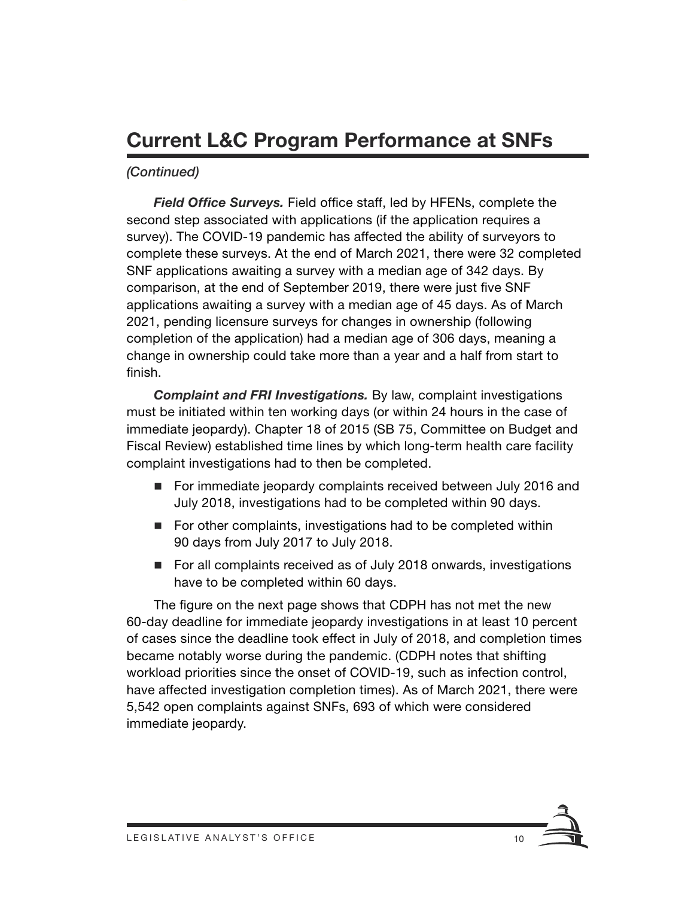# **Current L&C Program Performance at SNFs**

#### *(Continued)*

*Field Office Surveys.* Field office staff, led by HFENs, complete the second step associated with applications (if the application requires a survey). The COVID-19 pandemic has affected the ability of surveyors to complete these surveys. At the end of March 2021, there were 32 completed SNF applications awaiting a survey with a median age of 342 days. By comparison, at the end of September 2019, there were just five SNF applications awaiting a survey with a median age of 45 days. As of March 2021, pending licensure surveys for changes in ownership (following completion of the application) had a median age of 306 days, meaning a change in ownership could take more than a year and a half from start to finish.

*Complaint and FRI Investigations.* By law, complaint investigations must be initiated within ten working days (or within 24 hours in the case of immediate jeopardy). Chapter 18 of 2015 (SB 75, Committee on Budget and Fiscal Review) established time lines by which long-term health care facility complaint investigations had to then be completed.

- For immediate jeopardy complaints received between July 2016 and July 2018, investigations had to be completed within 90 days.
- For other complaints, investigations had to be completed within 90 days from July 2017 to July 2018.
- For all complaints received as of July 2018 onwards, investigations have to be completed within 60 days.

The figure on the next page shows that CDPH has not met the new 60-day deadline for immediate jeopardy investigations in at least 10 percent of cases since the deadline took effect in July of 2018, and completion times became notably worse during the pandemic. (CDPH notes that shifting workload priorities since the onset of COVID-19, such as infection control, have affected investigation completion times). As of March 2021, there were 5,542 open complaints against SNFs, 693 of which were considered immediate jeopardy.

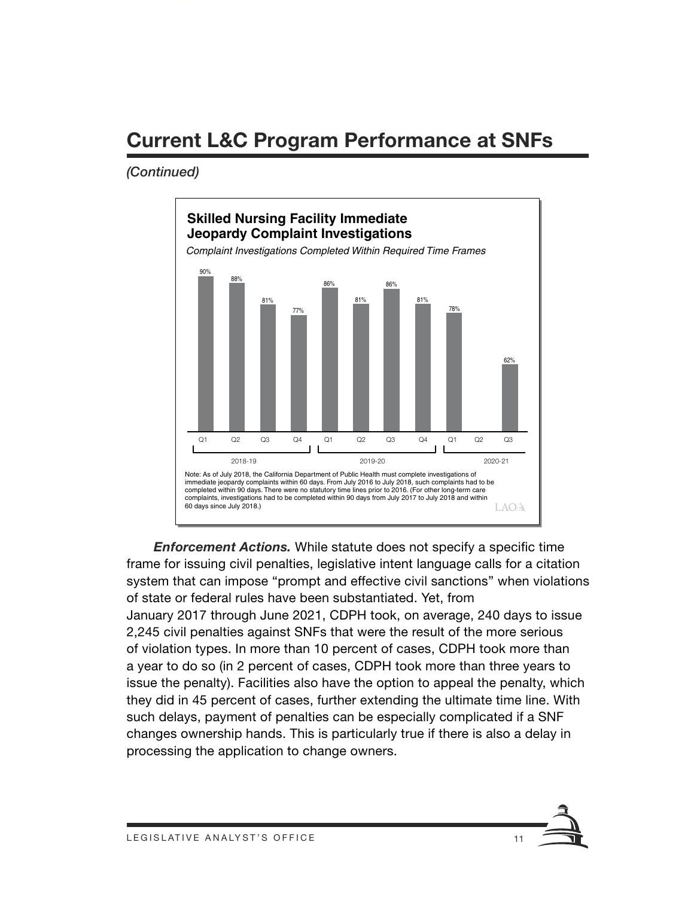# **Current L&C Program Performance at SNFs**

#### *(Continued)*



*Enforcement Actions.* While statute does not specify a specific time frame for issuing civil penalties, legislative intent language calls for a citation system that can impose "prompt and effective civil sanctions" when violations of state or federal rules have been substantiated. Yet, from January 2017 through June 2021, CDPH took, on average, 240 days to issue 2,245 civil penalties against SNFs that were the result of the more serious of violation types. In more than 10 percent of cases, CDPH took more than a year to do so (in 2 percent of cases, CDPH took more than three years to issue the penalty). Facilities also have the option to appeal the penalty, which they did in 45 percent of cases, further extending the ultimate time line. With such delays, payment of penalties can be especially complicated if a SNF changes ownership hands. This is particularly true if there is also a delay in processing the application to change owners.

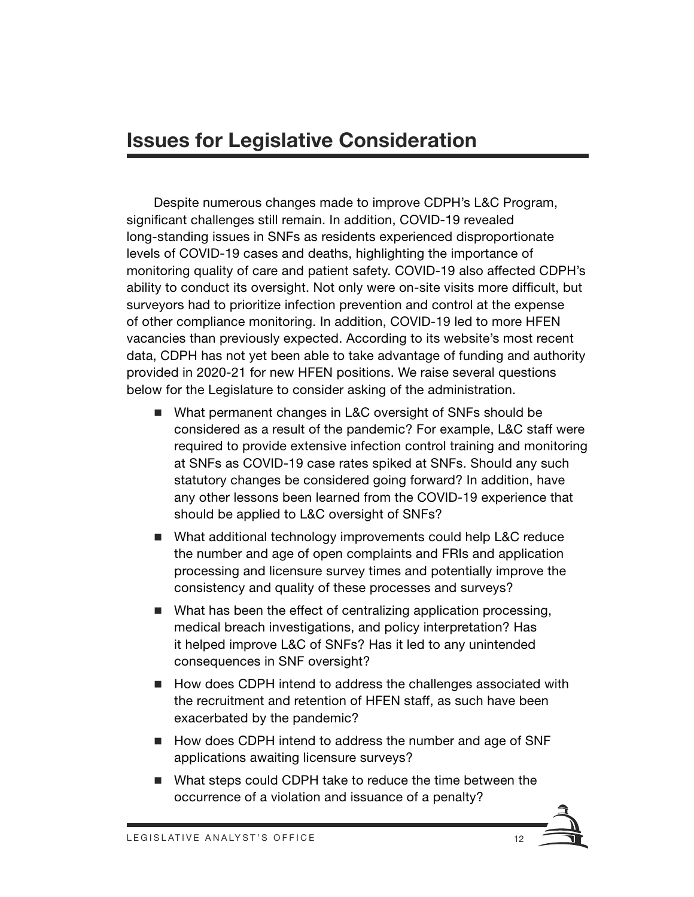### **Issues for Legislative Consideration**

Despite numerous changes made to improve CDPH's L&C Program, significant challenges still remain. In addition, COVID-19 revealed long-standing issues in SNFs as residents experienced disproportionate levels of COVID-19 cases and deaths, highlighting the importance of monitoring quality of care and patient safety. COVID-19 also affected CDPH's ability to conduct its oversight. Not only were on-site visits more difficult, but surveyors had to prioritize infection prevention and control at the expense of other compliance monitoring. In addition, COVID-19 led to more HFEN vacancies than previously expected. According to its website's most recent data, CDPH has not yet been able to take advantage of funding and authority provided in 2020-21 for new HFEN positions. We raise several questions below for the Legislature to consider asking of the administration.

- What permanent changes in L&C oversight of SNFs should be considered as a result of the pandemic? For example, L&C staff were required to provide extensive infection control training and monitoring at SNFs as COVID-19 case rates spiked at SNFs. Should any such statutory changes be considered going forward? In addition, have any other lessons been learned from the COVID-19 experience that should be applied to L&C oversight of SNFs?
- What additional technology improvements could help L&C reduce the number and age of open complaints and FRIs and application processing and licensure survey times and potentially improve the consistency and quality of these processes and surveys?
- What has been the effect of centralizing application processing, medical breach investigations, and policy interpretation? Has it helped improve L&C of SNFs? Has it led to any unintended consequences in SNF oversight?
- How does CDPH intend to address the challenges associated with the recruitment and retention of HFEN staff, as such have been exacerbated by the pandemic?
- How does CDPH intend to address the number and age of SNF applications awaiting licensure surveys?
- What steps could CDPH take to reduce the time between the occurrence of a violation and issuance of a penalty?

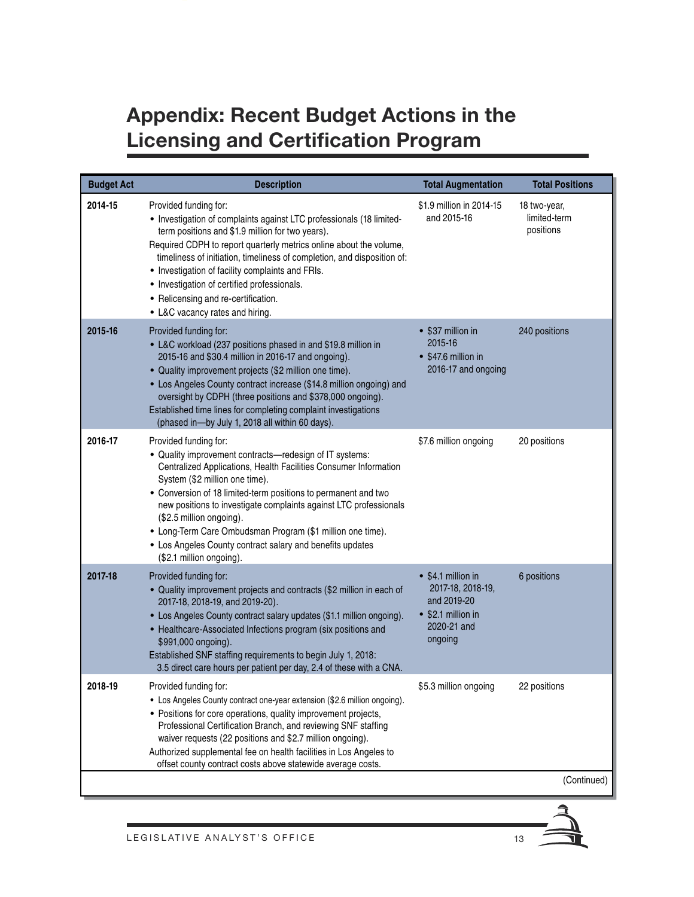# **Appendix: Recent Budget Actions in the Licensing and Certification Program**

| <b>Budget Act</b> | <b>Description</b>                                                                                                                                                                                                                                                                                                                                                                                                                                                                                               | <b>Total Augmentation</b>                                                                              | <b>Total Positions</b>                    |
|-------------------|------------------------------------------------------------------------------------------------------------------------------------------------------------------------------------------------------------------------------------------------------------------------------------------------------------------------------------------------------------------------------------------------------------------------------------------------------------------------------------------------------------------|--------------------------------------------------------------------------------------------------------|-------------------------------------------|
| 2014-15           | Provided funding for:<br>• Investigation of complaints against LTC professionals (18 limited-<br>term positions and \$1.9 million for two years).<br>Required CDPH to report quarterly metrics online about the volume,<br>timeliness of initiation, timeliness of completion, and disposition of:<br>• Investigation of facility complaints and FRIs.<br>• Investigation of certified professionals.<br>• Relicensing and re-certification.<br>• L&C vacancy rates and hiring.                                  | \$1.9 million in 2014-15<br>and 2015-16                                                                | 18 two-year,<br>limited-term<br>positions |
| 2015-16           | Provided funding for:<br>• L&C workload (237 positions phased in and \$19.8 million in<br>2015-16 and \$30.4 million in 2016-17 and ongoing).<br>• Quality improvement projects (\$2 million one time).<br>• Los Angeles County contract increase (\$14.8 million ongoing) and<br>oversight by CDPH (three positions and \$378,000 ongoing).<br>Established time lines for completing complaint investigations<br>(phased in-by July 1, 2018 all within 60 days).                                                | • \$37 million in<br>2015-16<br>• \$47.6 million in<br>2016-17 and ongoing                             | 240 positions                             |
| 2016-17           | Provided funding for:<br>• Quality improvement contracts-redesign of IT systems:<br>Centralized Applications, Health Facilities Consumer Information<br>System (\$2 million one time).<br>• Conversion of 18 limited-term positions to permanent and two<br>new positions to investigate complaints against LTC professionals<br>(\$2.5 million ongoing).<br>• Long-Term Care Ombudsman Program (\$1 million one time).<br>• Los Angeles County contract salary and benefits updates<br>(\$2.1 million ongoing). | \$7.6 million ongoing                                                                                  | 20 positions                              |
| 2017-18           | Provided funding for:<br>• Quality improvement projects and contracts (\$2 million in each of<br>2017-18, 2018-19, and 2019-20).<br>• Los Angeles County contract salary updates (\$1.1 million ongoing).<br>• Healthcare-Associated Infections program (six positions and<br>\$991,000 ongoing).<br>Established SNF staffing requirements to begin July 1, 2018:<br>3.5 direct care hours per patient per day, 2.4 of these with a CNA.                                                                         | • \$4.1 million in<br>2017-18, 2018-19,<br>and 2019-20<br>• \$2.1 million in<br>2020-21 and<br>ongoing | 6 positions                               |
| 2018-19           | Provided funding for:<br>• Los Angeles County contract one-year extension (\$2.6 million ongoing).<br>• Positions for core operations, quality improvement projects,<br>Professional Certification Branch, and reviewing SNF staffing<br>waiver requests (22 positions and \$2.7 million ongoing).<br>Authorized supplemental fee on health facilities in Los Angeles to<br>offset county contract costs above statewide average costs.                                                                          | \$5.3 million ongoing                                                                                  | 22 positions                              |
|                   |                                                                                                                                                                                                                                                                                                                                                                                                                                                                                                                  |                                                                                                        | (Continued)                               |